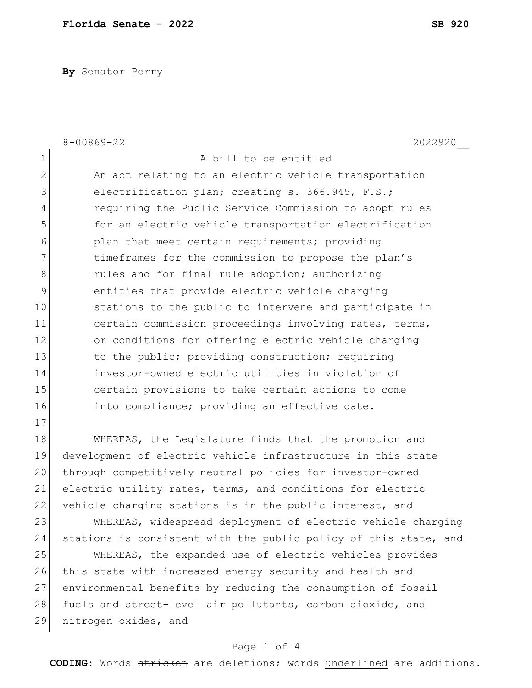**By** Senator Perry

|                | $8 - 00869 - 22$<br>2022920                                      |
|----------------|------------------------------------------------------------------|
| 1              | A bill to be entitled                                            |
| $\overline{2}$ | An act relating to an electric vehicle transportation            |
| 3              | electrification plan; creating s. 366.945, F.S.;                 |
| $\overline{4}$ | requiring the Public Service Commission to adopt rules           |
| 5              | for an electric vehicle transportation electrification           |
| 6              | plan that meet certain requirements; providing                   |
| 7              | timeframes for the commission to propose the plan's              |
| 8              | rules and for final rule adoption; authorizing                   |
| 9              | entities that provide electric vehicle charging                  |
| 10             | stations to the public to intervene and participate in           |
| 11             | certain commission proceedings involving rates, terms,           |
| 12             | or conditions for offering electric vehicle charging             |
| 13             | to the public; providing construction; requiring                 |
| 14             | investor-owned electric utilities in violation of                |
| 15             | certain provisions to take certain actions to come               |
| 16             | into compliance; providing an effective date.                    |
| 17             |                                                                  |
| 18             | WHEREAS, the Legislature finds that the promotion and            |
| 19             | development of electric vehicle infrastructure in this state     |
| 20             | through competitively neutral policies for investor-owned        |
| 21             | electric utility rates, terms, and conditions for electric       |
| 22             | vehicle charging stations is in the public interest, and         |
| 23             | WHEREAS, widespread deployment of electric vehicle charging      |
| 24             | stations is consistent with the public policy of this state, and |
| 25             | WHEREAS, the expanded use of electric vehicles provides          |
| 26             | this state with increased energy security and health and         |
| 27             | environmental benefits by reducing the consumption of fossil     |

28 fuels and street-level air pollutants, carbon dioxide, and 29 nitrogen oxides, and

## Page 1 of 4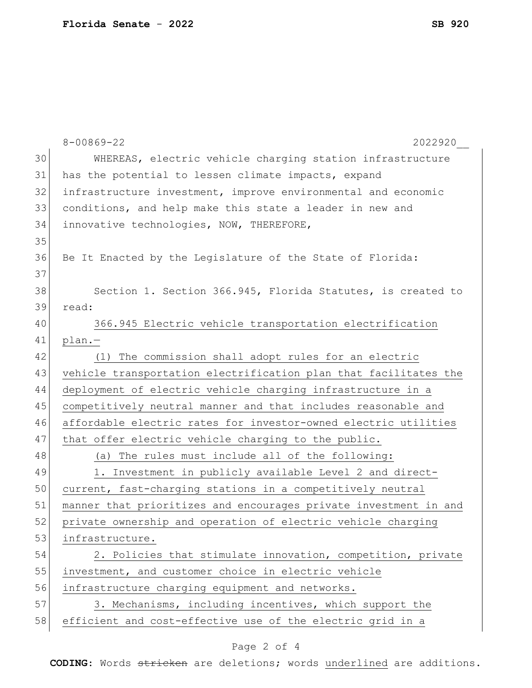|    | $8 - 00869 - 22$<br>2022920                                      |
|----|------------------------------------------------------------------|
| 30 | WHEREAS, electric vehicle charging station infrastructure        |
| 31 | has the potential to lessen climate impacts, expand              |
| 32 | infrastructure investment, improve environmental and economic    |
| 33 | conditions, and help make this state a leader in new and         |
| 34 | innovative technologies, NOW, THEREFORE,                         |
| 35 |                                                                  |
| 36 | Be It Enacted by the Legislature of the State of Florida:        |
| 37 |                                                                  |
| 38 | Section 1. Section 366.945, Florida Statutes, is created to      |
| 39 | read:                                                            |
| 40 | 366.945 Electric vehicle transportation electrification          |
| 41 | $plan. -$                                                        |
| 42 | (1) The commission shall adopt rules for an electric             |
| 43 | vehicle transportation electrification plan that facilitates the |
| 44 | deployment of electric vehicle charging infrastructure in a      |
| 45 | competitively neutral manner and that includes reasonable and    |
| 46 | affordable electric rates for investor-owned electric utilities  |
| 47 | that offer electric vehicle charging to the public.              |
| 48 | (a) The rules must include all of the following:                 |
| 49 | 1. Investment in publicly available Level 2 and direct-          |
| 50 | current, fast-charging stations in a competitively neutral       |
| 51 | manner that prioritizes and encourages private investment in and |
| 52 | private ownership and operation of electric vehicle charging     |
| 53 | infrastructure.                                                  |
| 54 | 2. Policies that stimulate innovation, competition, private      |
| 55 | investment, and customer choice in electric vehicle              |
| 56 | infrastructure charging equipment and networks.                  |
| 57 | 3. Mechanisms, including incentives, which support the           |
| 58 | efficient and cost-effective use of the electric grid in a       |
|    |                                                                  |

## Page 2 of 4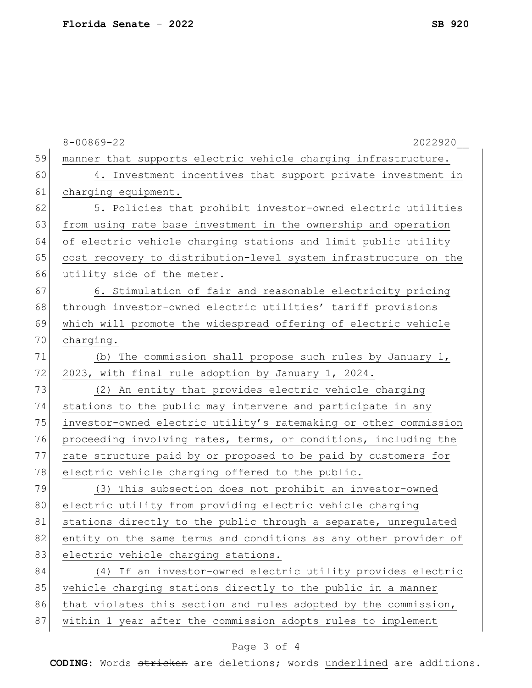|    | $8 - 00869 - 22$<br>2022920                                      |
|----|------------------------------------------------------------------|
| 59 | manner that supports electric vehicle charging infrastructure.   |
| 60 | 4. Investment incentives that support private investment in      |
| 61 | charging equipment.                                              |
| 62 | 5. Policies that prohibit investor-owned electric utilities      |
| 63 | from using rate base investment in the ownership and operation   |
| 64 | of electric vehicle charging stations and limit public utility   |
| 65 | cost recovery to distribution-level system infrastructure on the |
| 66 | utility side of the meter.                                       |
| 67 | 6. Stimulation of fair and reasonable electricity pricing        |
| 68 | through investor-owned electric utilities' tariff provisions     |
| 69 | which will promote the widespread offering of electric vehicle   |
| 70 | charging.                                                        |
| 71 | (b) The commission shall propose such rules by January 1,        |
| 72 | 2023, with final rule adoption by January 1, 2024.               |
| 73 | (2) An entity that provides electric vehicle charging            |
| 74 | stations to the public may intervene and participate in any      |
| 75 | investor-owned electric utility's ratemaking or other commission |
| 76 | proceeding involving rates, terms, or conditions, including the  |
| 77 | rate structure paid by or proposed to be paid by customers for   |
| 78 | electric vehicle charging offered to the public.                 |
| 79 | (3) This subsection does not prohibit an investor-owned          |
| 80 | electric utility from providing electric vehicle charging        |
| 81 | stations directly to the public through a separate, unregulated  |
| 82 | entity on the same terms and conditions as any other provider of |
| 83 | electric vehicle charging stations.                              |
| 84 | (4) If an investor-owned electric utility provides electric      |
| 85 | vehicle charging stations directly to the public in a manner     |
| 86 | that violates this section and rules adopted by the commission,  |
| 87 | within 1 year after the commission adopts rules to implement     |

## Page 3 of 4